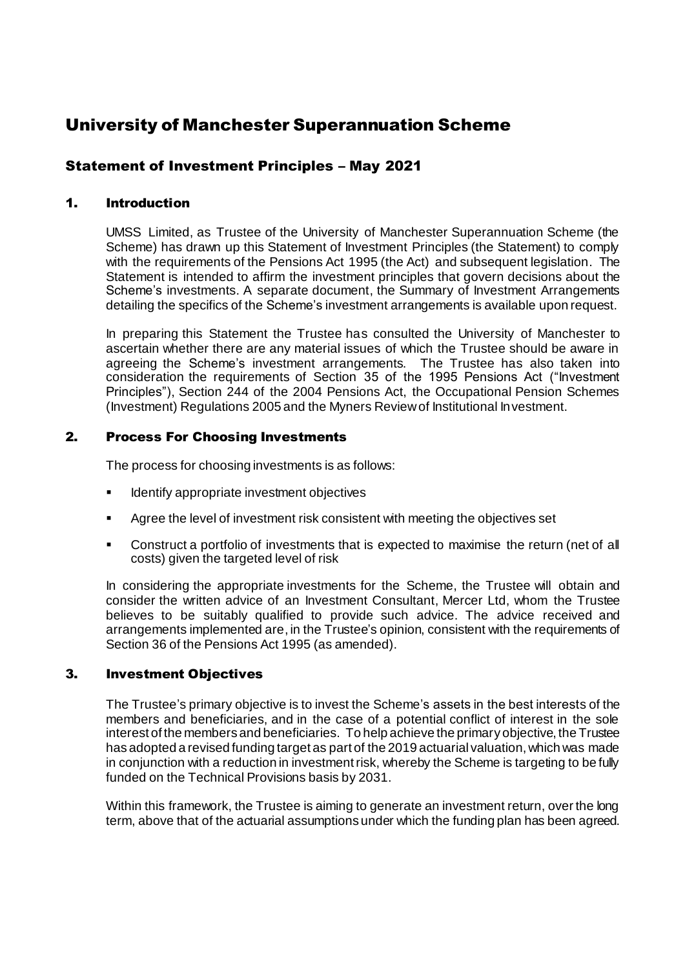# University of Manchester Superannuation Scheme

# Statement of Investment Principles – May 2021

## 1. Introduction

UMSS Limited, as Trustee of the University of Manchester Superannuation Scheme (the Scheme) has drawn up this Statement of Investment Principles (the Statement) to comply with the requirements of the Pensions Act 1995 (the Act) and subsequent legislation. The Statement is intended to affirm the investment principles that govern decisions about the Scheme's investments. A separate document, the Summary of Investment Arrangements detailing the specifics of the Scheme's investment arrangements is available upon request.

In preparing this Statement the Trustee has consulted the University of Manchester to ascertain whether there are any material issues of which the Trustee should be aware in agreeing the Scheme's investment arrangements. The Trustee has also taken into consideration the requirements of Section 35 of the 1995 Pensions Act ("Investment Principles"), Section 244 of the 2004 Pensions Act, the Occupational Pension Schemes (Investment) Regulations 2005 and the Myners Review of Institutional Investment.

### 2. Process For Choosing Investments

The process for choosing investments is as follows:

- Identify appropriate investment objectives
- Agree the level of investment risk consistent with meeting the objectives set
- Construct a portfolio of investments that is expected to maximise the return (net of all costs) given the targeted level of risk

In considering the appropriate investments for the Scheme, the Trustee will obtain and consider the written advice of an Investment Consultant, Mercer Ltd, whom the Trustee believes to be suitably qualified to provide such advice. The advice received and arrangements implemented are, in the Trustee's opinion, consistent with the requirements of Section 36 of the Pensions Act 1995 (as amended).

### 3. Investment Objectives

The Trustee's primary objective is to invest the Scheme's assets in the best interests of the members and beneficiaries, and in the case of a potential conflict of interest in the sole interest of the members and beneficiaries. To help achieve the primary objective, the Trustee has adopted a revised funding target as part of the 2019 actuarial valuation, which was made in conjunction with a reduction in investment risk, whereby the Scheme is targeting to be fully funded on the Technical Provisions basis by 2031.

Within this framework, the Trustee is aiming to generate an investment return, over the long term, above that of the actuarial assumptions under which the funding plan has been agreed.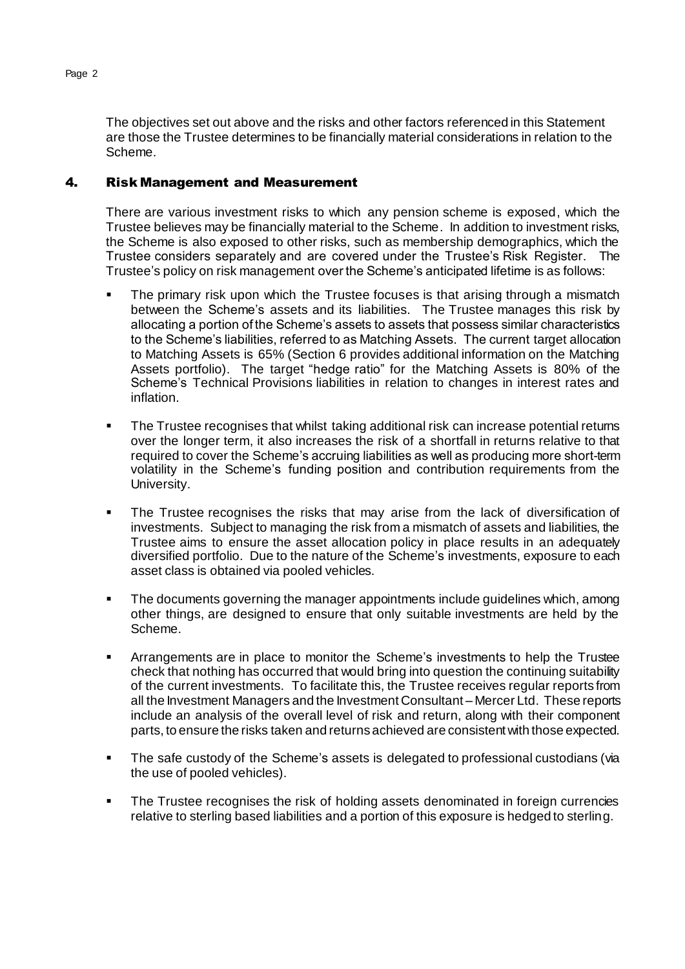The objectives set out above and the risks and other factors referenced in this Statement are those the Trustee determines to be financially material considerations in relation to the Scheme.

# 4. Risk Management and Measurement

There are various investment risks to which any pension scheme is exposed, which the Trustee believes may be financially material to the Scheme. In addition to investment risks, the Scheme is also exposed to other risks, such as membership demographics, which the Trustee considers separately and are covered under the Trustee's Risk Register. The Trustee's policy on risk management over the Scheme's anticipated lifetime is as follows:

- The primary risk upon which the Trustee focuses is that arising through a mismatch between the Scheme's assets and its liabilities. The Trustee manages this risk by allocating a portion of the Scheme's assets to assets that possess similar characteristics to the Scheme's liabilities, referred to as Matching Assets. The current target allocation to Matching Assets is 65% (Section 6 provides additional information on the Matching Assets portfolio). The target "hedge ratio" for the Matching Assets is 80% of the Scheme's Technical Provisions liabilities in relation to changes in interest rates and inflation.
- The Trustee recognises that whilst taking additional risk can increase potential returns over the longer term, it also increases the risk of a shortfall in returns relative to that required to cover the Scheme's accruing liabilities as well as producing more short-term volatility in the Scheme's funding position and contribution requirements from the University.
- The Trustee recognises the risks that may arise from the lack of diversification of investments. Subject to managing the risk from a mismatch of assets and liabilities, the Trustee aims to ensure the asset allocation policy in place results in an adequately diversified portfolio. Due to the nature of the Scheme's investments, exposure to each asset class is obtained via pooled vehicles.
- The documents governing the manager appointments include guidelines which, among other things, are designed to ensure that only suitable investments are held by the Scheme.
- Arrangements are in place to monitor the Scheme's investments to help the Trustee check that nothing has occurred that would bring into question the continuing suitability of the current investments. To facilitate this, the Trustee receives regular reports from all the Investment Managers and the Investment Consultant – Mercer Ltd. These reports include an analysis of the overall level of risk and return, along with their component parts, to ensure the risks taken and returns achieved are consistent with those expected.
- The safe custody of the Scheme's assets is delegated to professional custodians (via the use of pooled vehicles).
- The Trustee recognises the risk of holding assets denominated in foreign currencies relative to sterling based liabilities and a portion of this exposure is hedged to sterling.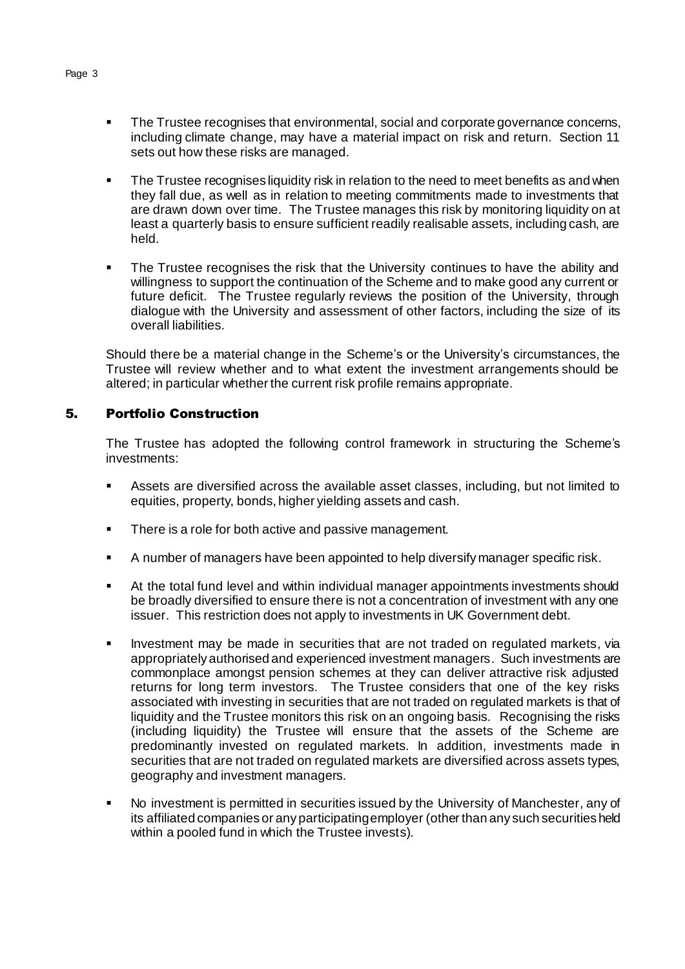- The Trustee recognises that environmental, social and corporate governance concerns, including climate change, may have a material impact on risk and return. Section 11 sets out how these risks are managed.
- The Trustee recognises liquidity risk in relation to the need to meet benefits as and when they fall due, as well as in relation to meeting commitments made to investments that are drawn down over time. The Trustee manages this risk by monitoring liquidity on at least a quarterly basis to ensure sufficient readily realisable assets, including cash, are held.
- The Trustee recognises the risk that the University continues to have the ability and willingness to support the continuation of the Scheme and to make good any current or future deficit. The Trustee regularly reviews the position of the University, through dialogue with the University and assessment of other factors, including the size of its overall liabilities.

Should there be a material change in the Scheme's or the University's circumstances, the Trustee will review whether and to what extent the investment arrangements should be altered; in particular whether the current risk profile remains appropriate.

# 5. Portfolio Construction

The Trustee has adopted the following control framework in structuring the Scheme's investments:

- Assets are diversified across the available asset classes, including, but not limited to equities, property, bonds, higher yielding assets and cash.
- There is a role for both active and passive management.
- A number of managers have been appointed to help diversify manager specific risk.
- At the total fund level and within individual manager appointments investments should be broadly diversified to ensure there is not a concentration of investment with any one issuer. This restriction does not apply to investments in UK Government debt.
- Investment may be made in securities that are not traded on regulated markets, via appropriately authorised and experienced investment managers. Such investments are commonplace amongst pension schemes at they can deliver attractive risk adjusted returns for long term investors. The Trustee considers that one of the key risks associated with investing in securities that are not traded on regulated markets is that of liquidity and the Trustee monitors this risk on an ongoing basis. Recognising the risks (including liquidity) the Trustee will ensure that the assets of the Scheme are predominantly invested on regulated markets. In addition, investments made in securities that are not traded on regulated markets are diversified across assets types, geography and investment managers.
- No investment is permitted in securities issued by the University of Manchester, any of its affiliated companies or any participating employer (other than any such securities held within a pooled fund in which the Trustee invests).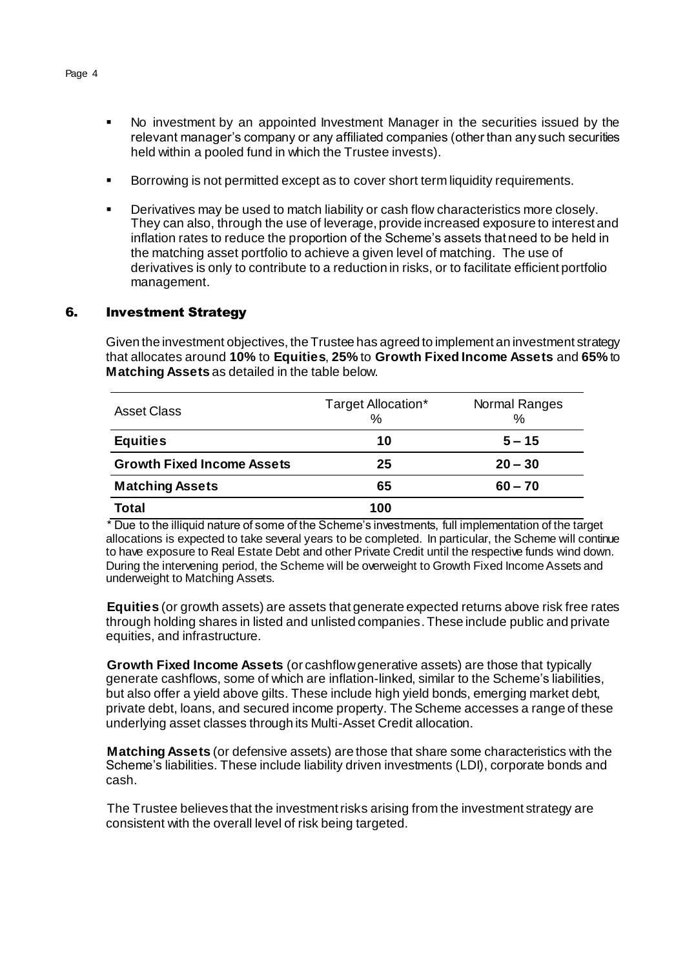- No investment by an appointed Investment Manager in the securities issued by the relevant manager's company or any affiliated companies (other than any such securities held within a pooled fund in which the Trustee invests).
- Borrowing is not permitted except as to cover short term liquidity requirements.
- Derivatives may be used to match liability or cash flow characteristics more closely. They can also, through the use of leverage, provide increased exposure to interest and inflation rates to reduce the proportion of the Scheme's assets that need to be held in the matching asset portfolio to achieve a given level of matching. The use of derivatives is only to contribute to a reduction in risks, or to facilitate efficient portfolio management.

### 6. Investment Strategy

Given the investment objectives, the Trustee has agreed to implement an investment strategy that allocates around **10%** to **Equities**, **25%** to **Growth Fixed Income Assets** and **65%** to **Matching Assets** as detailed in the table below.

| <b>Asset Class</b>                | Target Allocation*<br>$\%$ | Normal Ranges<br>$\%$ |
|-----------------------------------|----------------------------|-----------------------|
| <b>Equities</b>                   | 10                         | $5 - 15$              |
| <b>Growth Fixed Income Assets</b> | 25                         | $20 - 30$             |
| <b>Matching Assets</b>            | 65                         | $60 - 70$             |
| Total                             | 100                        |                       |

\* Due to the illiquid nature of some of the Scheme's investments, full implementation of the target allocations is expected to take several years to be completed. In particular, the Scheme will continue to have exposure to Real Estate Debt and other Private Credit until the respective funds wind down. During the intervening period, the Scheme will be overweight to Growth Fixed Income Assets and underweight to Matching Assets.

**Equities** (or growth assets) are assets that generate expected returns above risk free rates through holding shares in listed and unlisted companies.These include public and private equities, and infrastructure.

**Growth Fixed Income Assets** (or cashflow generative assets) are those that typically generate cashflows, some of which are inflation-linked, similar to the Scheme's liabilities, but also offer a yield above gilts. These include high yield bonds, emerging market debt, private debt, loans, and secured income property. The Scheme accesses a range of these underlying asset classes through its Multi-Asset Credit allocation.

**Matching Assets** (or defensive assets) are those that share some characteristics with the Scheme's liabilities. These include liability driven investments (LDI), corporate bonds and cash.

The Trustee believes that the investment risks arising from the investment strategy are consistent with the overall level of risk being targeted.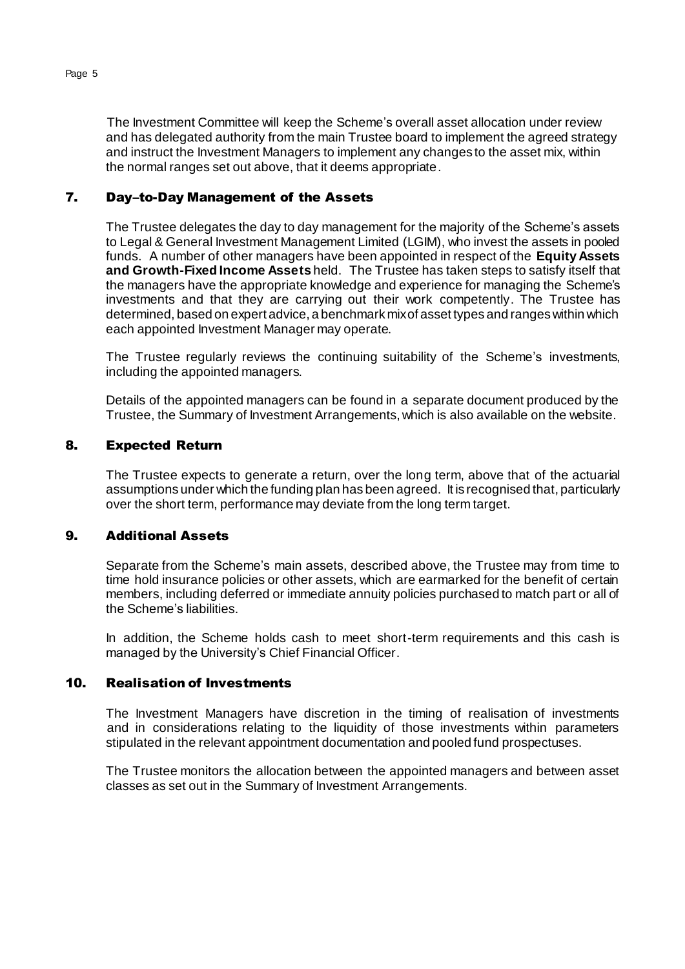The Investment Committee will keep the Scheme's overall asset allocation under review and has delegated authority from the main Trustee board to implement the agreed strategy and instruct the Investment Managers to implement any changes to the asset mix, within the normal ranges set out above, that it deems appropriate.

### 7. Day–to-Day Management of the Assets

The Trustee delegates the day to day management for the majority of the Scheme's assets to Legal & General Investment Management Limited (LGIM), who invest the assets in pooled funds. A number of other managers have been appointed in respect of the **Equity Assets and Growth-Fixed Income Assets** held. The Trustee has taken steps to satisfy itself that the managers have the appropriate knowledge and experience for managing the Scheme's investments and that they are carrying out their work competently. The Trustee has determined, based on expert advice, a benchmark mix of asset types and ranges within which each appointed Investment Manager may operate.

The Trustee regularly reviews the continuing suitability of the Scheme's investments, including the appointed managers.

Details of the appointed managers can be found in a separate document produced by the Trustee, the Summary of Investment Arrangements, which is also available on the website.

#### 8. Expected Return

The Trustee expects to generate a return, over the long term, above that of the actuarial assumptions under which the funding plan has been agreed. It is recognised that, particularly over the short term, performance may deviate from the long term target.

### 9. Additional Assets

Separate from the Scheme's main assets, described above, the Trustee may from time to time hold insurance policies or other assets, which are earmarked for the benefit of certain members, including deferred or immediate annuity policies purchased to match part or all of the Scheme's liabilities.

In addition, the Scheme holds cash to meet short-term requirements and this cash is managed by the University's Chief Financial Officer.

#### 10. Realisation of Investments

The Investment Managers have discretion in the timing of realisation of investments and in considerations relating to the liquidity of those investments within parameters stipulated in the relevant appointment documentation and pooled fund prospectuses.

The Trustee monitors the allocation between the appointed managers and between asset classes as set out in the Summary of Investment Arrangements.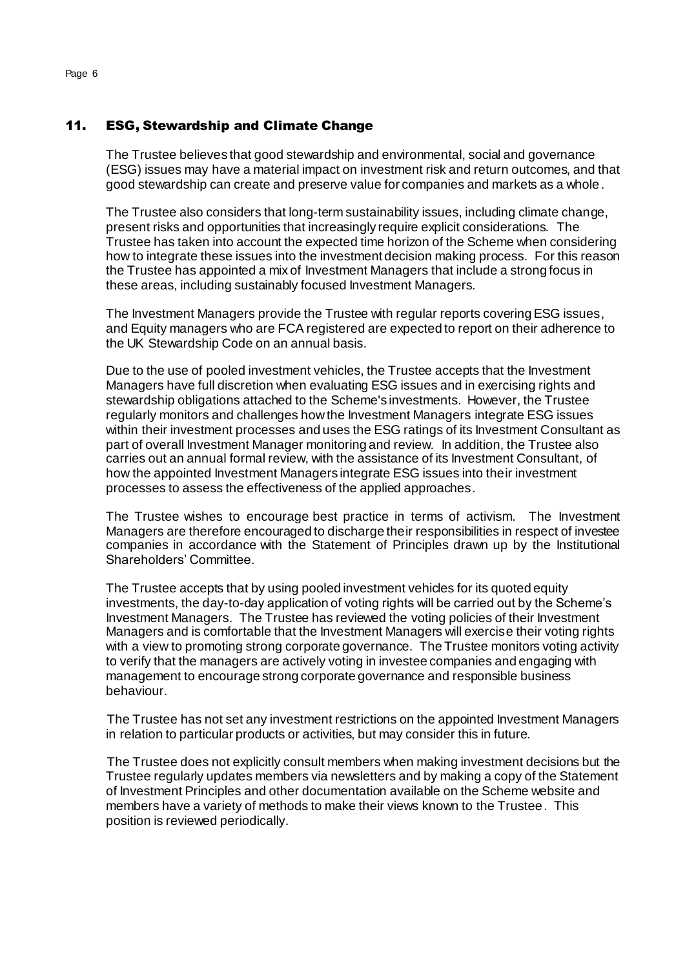# 11. ESG, Stewardship and Climate Change

The Trustee believes that good stewardship and environmental, social and governance (ESG) issues may have a material impact on investment risk and return outcomes, and that good stewardship can create and preserve value for companies and markets as a whole.

The Trustee also considers that long-term sustainability issues, including climate change, present risks and opportunities that increasingly require explicit considerations. The Trustee has taken into account the expected time horizon of the Scheme when considering how to integrate these issues into the investment decision making process. For this reason the Trustee has appointed a mix of Investment Managers that include a strong focus in these areas, including sustainably focused Investment Managers.

The Investment Managers provide the Trustee with regular reports covering ESG issues, and Equity managers who are FCA registered are expected to report on their adherence to the UK Stewardship Code on an annual basis.

Due to the use of pooled investment vehicles, the Trustee accepts that the Investment Managers have full discretion when evaluating ESG issues and in exercising rights and stewardship obligations attached to the Scheme's investments. However, the Trustee regularly monitors and challenges how the Investment Managers integrate ESG issues within their investment processes and uses the ESG ratings of its Investment Consultant as part of overall Investment Manager monitoring and review. In addition, the Trustee also carries out an annual formal review, with the assistance of its Investment Consultant, of how the appointed Investment Managers integrate ESG issues into their investment processes to assess the effectiveness of the applied approaches.

The Trustee wishes to encourage best practice in terms of activism. The Investment Managers are therefore encouraged to discharge their responsibilities in respect of investee companies in accordance with the Statement of Principles drawn up by the Institutional Shareholders' Committee.

The Trustee accepts that by using pooled investment vehicles for its quoted equity investments, the day-to-day application of voting rights will be carried out by the Scheme's Investment Managers. The Trustee has reviewed the voting policies of their Investment Managers and is comfortable that the Investment Managers will exercise their voting rights with a view to promoting strong corporate governance. The Trustee monitors voting activity to verify that the managers are actively voting in investee companies and engaging with management to encourage strong corporate governance and responsible business behaviour.

The Trustee has not set any investment restrictions on the appointed Investment Managers in relation to particular products or activities, but may consider this in future.

The Trustee does not explicitly consult members when making investment decisions but the Trustee regularly updates members via newsletters and by making a copy of the Statement of Investment Principles and other documentation available on the Scheme website and members have a variety of methods to make their views known to the Trustee. This position is reviewed periodically.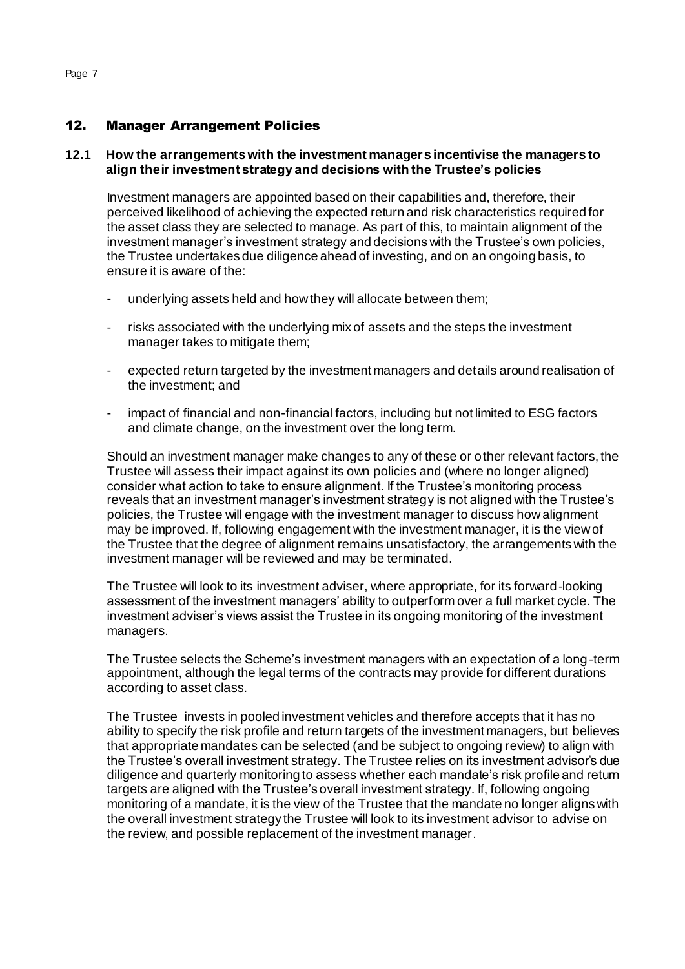## 12. Manager Arrangement Policies

### **12.1 How the arrangements with the investment managers incentivise the managers to align their investment strategy and decisions with the Trustee's policies**

Investment managers are appointed based on their capabilities and, therefore, their perceived likelihood of achieving the expected return and risk characteristics required for the asset class they are selected to manage. As part of this, to maintain alignment of the investment manager's investment strategy and decisions with the Trustee's own policies, the Trustee undertakes due diligence ahead of investing, and on an ongoing basis, to ensure it is aware of the:

- underlying assets held and how they will allocate between them;
- risks associated with the underlying mix of assets and the steps the investment manager takes to mitigate them;
- expected return targeted by the investment managers and details around realisation of the investment; and
- impact of financial and non-financial factors, including but not limited to ESG factors and climate change, on the investment over the long term.

Should an investment manager make changes to any of these or other relevant factors, the Trustee will assess their impact against its own policies and (where no longer aligned) consider what action to take to ensure alignment. If the Trustee's monitoring process reveals that an investment manager's investment strategy is not aligned with the Trustee's policies, the Trustee will engage with the investment manager to discuss how alignment may be improved. If, following engagement with the investment manager, it is the view of the Trustee that the degree of alignment remains unsatisfactory, the arrangements with the investment manager will be reviewed and may be terminated.

The Trustee will look to its investment adviser, where appropriate, for its forward-looking assessment of the investment managers' ability to outperform over a full market cycle. The investment adviser's views assist the Trustee in its ongoing monitoring of the investment managers.

The Trustee selects the Scheme's investment managers with an expectation of a long-term appointment, although the legal terms of the contracts may provide for different durations according to asset class.

The Trustee invests in pooled investment vehicles and therefore accepts that it has no ability to specify the risk profile and return targets of the investment managers, but believes that appropriate mandates can be selected (and be subject to ongoing review) to align with the Trustee's overall investment strategy. The Trustee relies on its investment advisor's due diligence and quarterly monitoring to assess whether each mandate's risk profile and return targets are aligned with the Trustee's overall investment strategy. If, following ongoing monitoring of a mandate, it is the view of the Trustee that the mandate no longer aligns with the overall investment strategy the Trustee will look to its investment advisor to advise on the review, and possible replacement of the investment manager.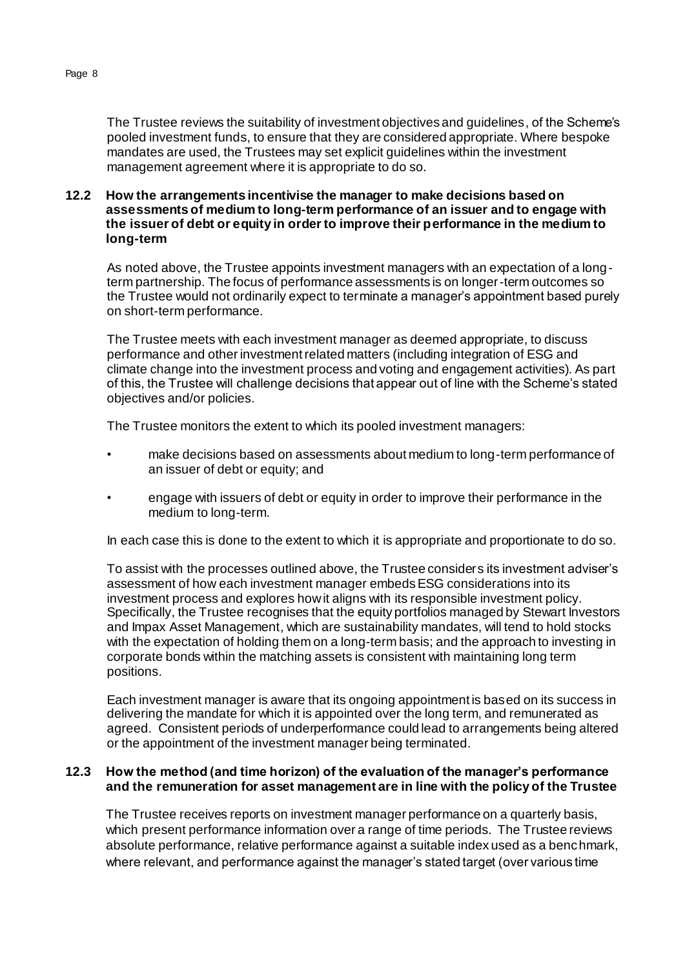#### **12.2 How the arrangements incentivise the manager to make decisions based on assessments of medium to long-term performance of an issuer and to engage with the issuer of debt or equity in order to improve their performance in the medium to long-term**

As noted above, the Trustee appoints investment managers with an expectation of a longterm partnership. The focus of performance assessments is on longer-term outcomes so the Trustee would not ordinarily expect to terminate a manager's appointment based purely on short-term performance.

The Trustee meets with each investment manager as deemed appropriate, to discuss performance and other investment related matters (including integration of ESG and climate change into the investment process and voting and engagement activities). As part of this, the Trustee will challenge decisions that appear out of line with the Scheme's stated objectives and/or policies.

The Trustee monitors the extent to which its pooled investment managers:

- make decisions based on assessments about medium to long-term performance of an issuer of debt or equity; and
- engage with issuers of debt or equity in order to improve their performance in the medium to long-term.

In each case this is done to the extent to which it is appropriate and proportionate to do so.

To assist with the processes outlined above, the Trustee considers its investment adviser's assessment of how each investment manager embeds ESG considerations into its investment process and explores how it aligns with its responsible investment policy. Specifically, the Trustee recognises that the equity portfolios managed by Stewart Investors and Impax Asset Management, which are sustainability mandates, will tend to hold stocks with the expectation of holding them on a long-term basis; and the approach to investing in corporate bonds within the matching assets is consistent with maintaining long term positions.

Each investment manager is aware that its ongoing appointment is based on its success in delivering the mandate for which it is appointed over the long term, and remunerated as agreed. Consistent periods of underperformance could lead to arrangements being altered or the appointment of the investment manager being terminated.

### **12.3 How the method (and time horizon) of the evaluation of the manager's performance and the remuneration for asset management are in line with the policy of the Trustee**

The Trustee receives reports on investment manager performance on a quarterly basis, which present performance information over a range of time periods. The Trustee reviews absolute performance, relative performance against a suitable index used as a benchmark, where relevant, and performance against the manager's stated target (over various time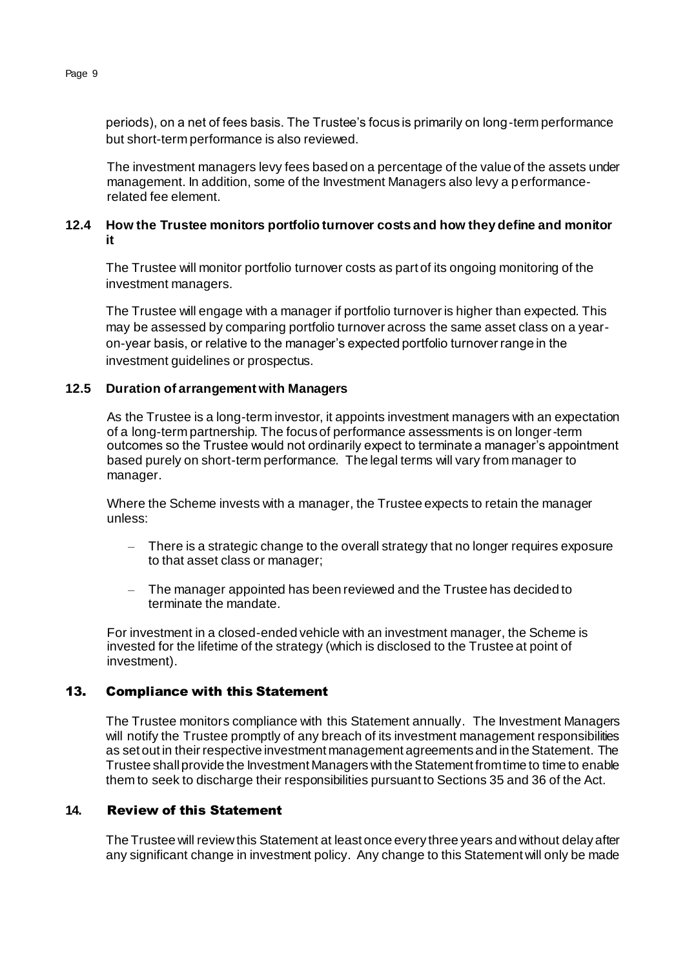periods), on a net of fees basis. The Trustee's focus is primarily on long-term performance but short-term performance is also reviewed.

The investment managers levy fees based on a percentage of the value of the assets under management. In addition, some of the Investment Managers also levy a performancerelated fee element.

# **12.4 How the Trustee monitors portfolio turnover costs and how they define and monitor it**

The Trustee will monitor portfolio turnover costs as part of its ongoing monitoring of the investment managers.

The Trustee will engage with a manager if portfolio turnover is higher than expected. This may be assessed by comparing portfolio turnover across the same asset class on a yearon-year basis, or relative to the manager's expected portfolio turnover range in the investment guidelines or prospectus.

# **12.5 Duration of arrangement with Managers**

As the Trustee is a long-term investor, it appoints investment managers with an expectation of a long-term partnership. The focus of performance assessments is on longer-term outcomes so the Trustee would not ordinarily expect to terminate a manager's appointment based purely on short-term performance. The legal terms will vary from manager to manager.

Where the Scheme invests with a manager, the Trustee expects to retain the manager unless:

- There is a strategic change to the overall strategy that no longer requires exposure to that asset class or manager;
- The manager appointed has been reviewed and the Trustee has decided to terminate the mandate.

For investment in a closed-ended vehicle with an investment manager, the Scheme is invested for the lifetime of the strategy (which is disclosed to the Trustee at point of investment).

# 13. Compliance with this Statement

The Trustee monitors compliance with this Statement annually. The Investment Managers will notify the Trustee promptly of any breach of its investment management responsibilities as set out in their respective investment management agreements and in the Statement. The Trustee shall provide the Investment Managers with the Statement from time to time to enable them to seek to discharge their responsibilities pursuant to Sections 35 and 36 of the Act.

### **14.** Review of this Statement

The Trustee will review this Statement at least once every three years and without delay after any significant change in investment policy. Any change to this Statement will only be made